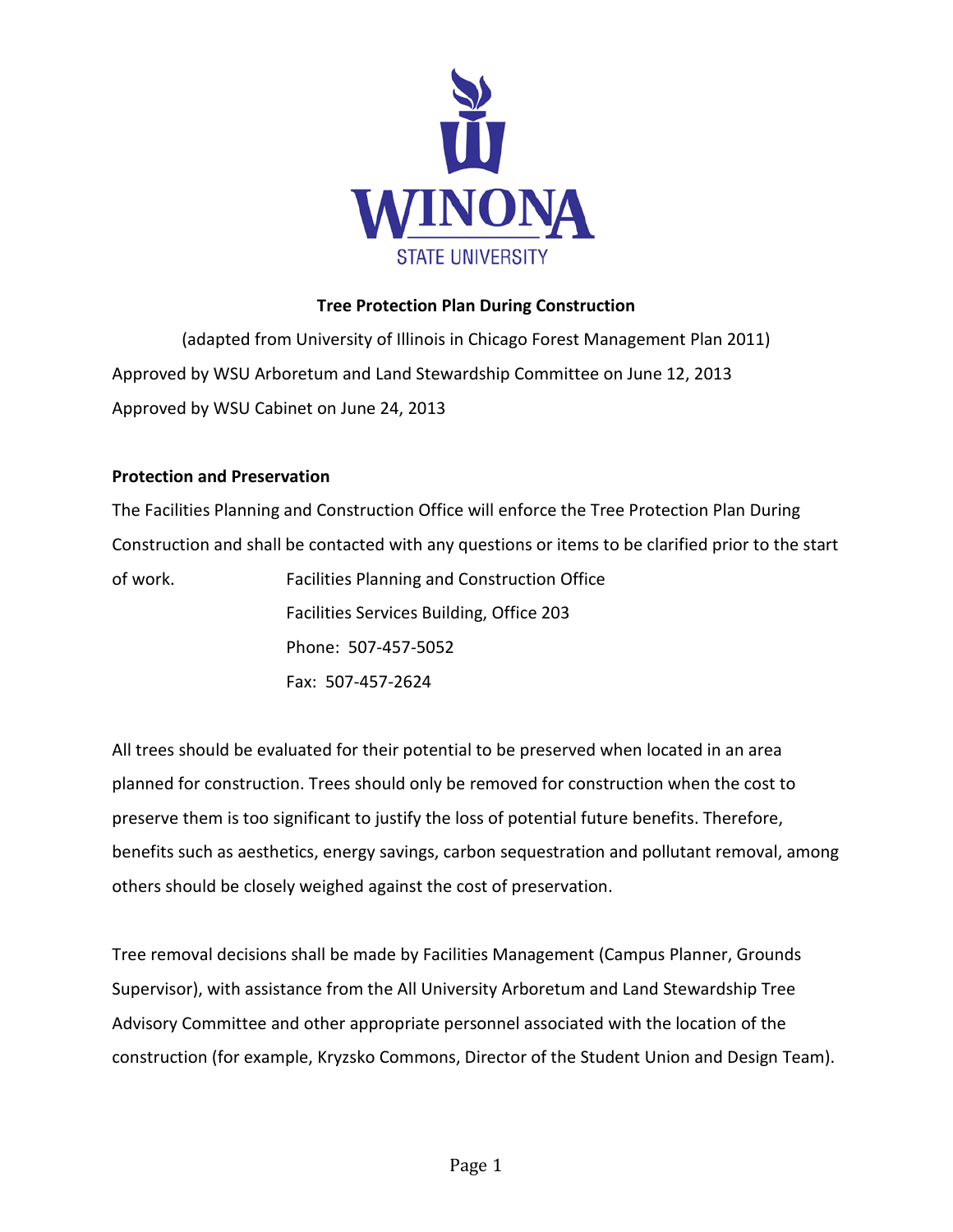

# **Tree Protection Plan During Construction**

(adapted from University of Illinois in Chicago Forest Management Plan 2011) Approved by WSU Arboretum and Land Stewardship Committee on June 12, 2013 Approved by WSU Cabinet on June 24, 2013

### **Protection and Preservation**

The Facilities Planning and Construction Office will enforce the Tree Protection Plan During Construction and shall be contacted with any questions or items to be clarified prior to the start of work. Facilities Planning and Construction Office Facilities Services Building, Office 203 Phone: 507-457-5052

Fax: 507-457-2624

All trees should be evaluated for their potential to be preserved when located in an area planned for construction. Trees should only be removed for construction when the cost to preserve them is too significant to justify the loss of potential future benefits. Therefore, benefits such as aesthetics, energy savings, carbon sequestration and pollutant removal, among others should be closely weighed against the cost of preservation.

Tree removal decisions shall be made by Facilities Management (Campus Planner, Grounds Supervisor), with assistance from the All University Arboretum and Land Stewardship Tree Advisory Committee and other appropriate personnel associated with the location of the construction (for example, Kryzsko Commons, Director of the Student Union and Design Team).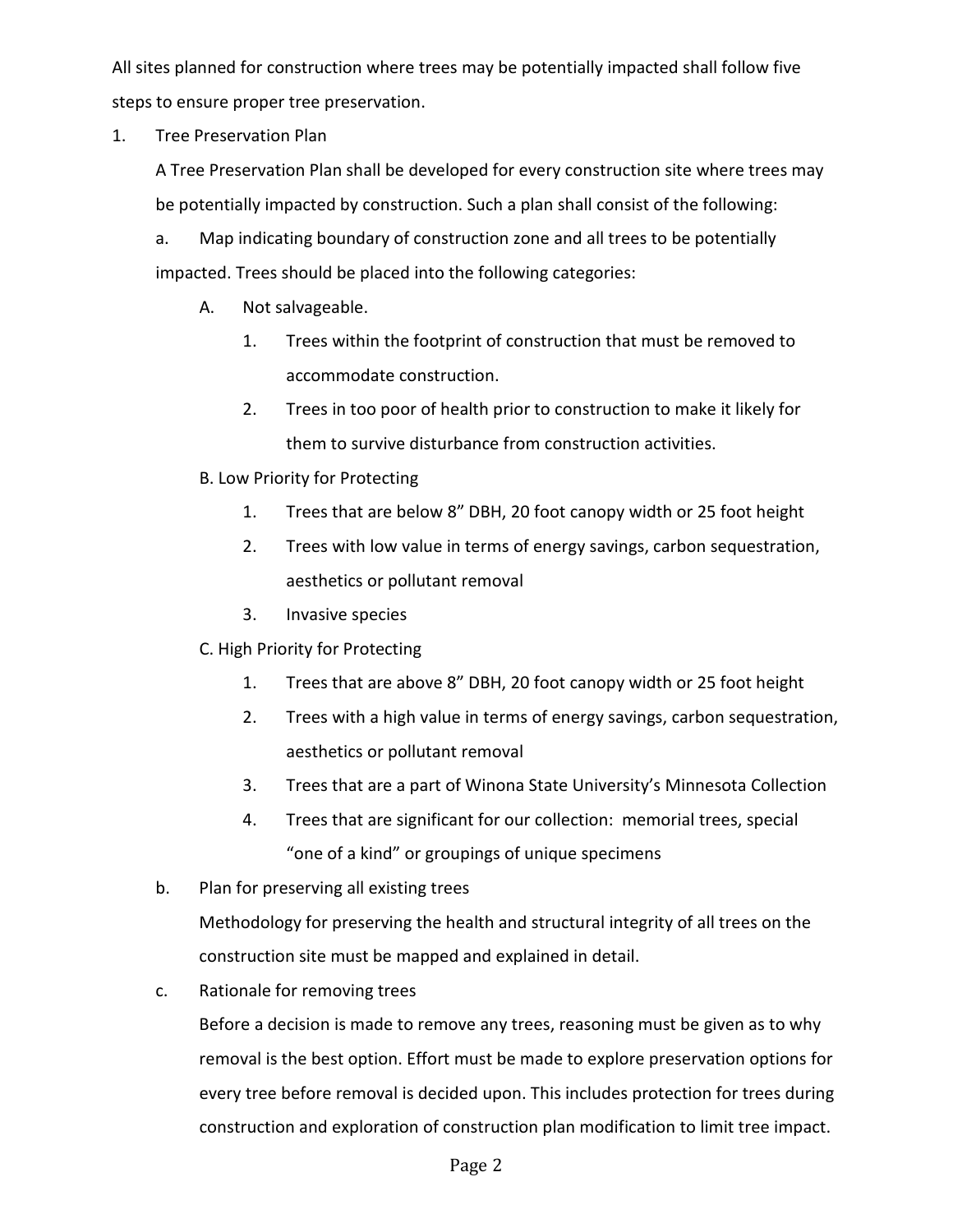All sites planned for construction where trees may be potentially impacted shall follow five steps to ensure proper tree preservation.

1. Tree Preservation Plan

A Tree Preservation Plan shall be developed for every construction site where trees may be potentially impacted by construction. Such a plan shall consist of the following:

a. Map indicating boundary of construction zone and all trees to be potentially impacted. Trees should be placed into the following categories:

- A. Not salvageable.
	- 1. Trees within the footprint of construction that must be removed to accommodate construction.
	- 2. Trees in too poor of health prior to construction to make it likely for them to survive disturbance from construction activities.
- B. Low Priority for Protecting
	- 1. Trees that are below 8" DBH, 20 foot canopy width or 25 foot height
	- 2. Trees with low value in terms of energy savings, carbon sequestration, aesthetics or pollutant removal
	- 3. Invasive species
- C. High Priority for Protecting
	- 1. Trees that are above 8" DBH, 20 foot canopy width or 25 foot height
	- 2. Trees with a high value in terms of energy savings, carbon sequestration, aesthetics or pollutant removal
	- 3. Trees that are a part of Winona State University's Minnesota Collection
	- 4. Trees that are significant for our collection: memorial trees, special "one of a kind" or groupings of unique specimens
- b. Plan for preserving all existing trees

Methodology for preserving the health and structural integrity of all trees on the construction site must be mapped and explained in detail.

c. Rationale for removing trees

Before a decision is made to remove any trees, reasoning must be given as to why removal is the best option. Effort must be made to explore preservation options for every tree before removal is decided upon. This includes protection for trees during construction and exploration of construction plan modification to limit tree impact.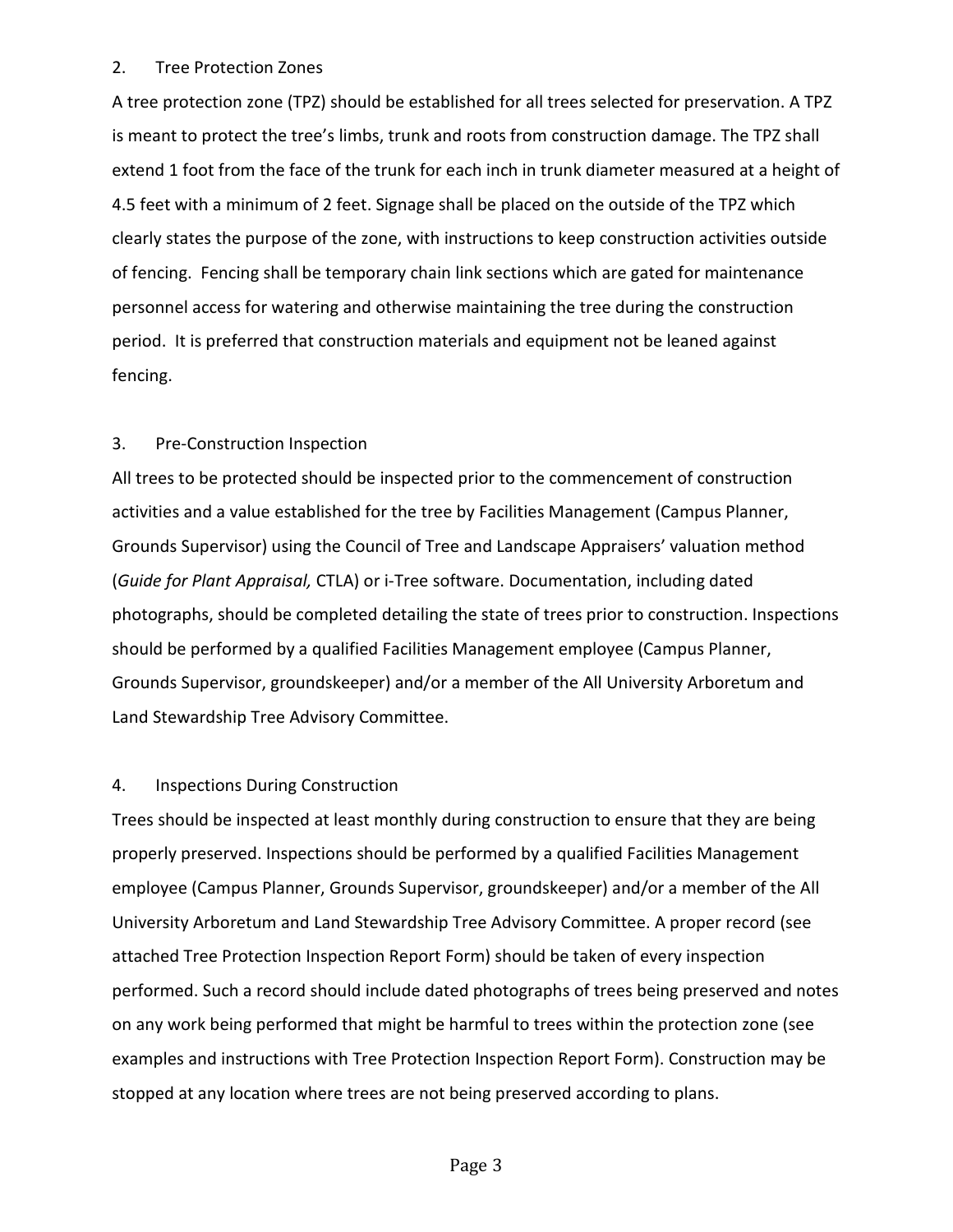## 2. Tree Protection Zones

A tree protection zone (TPZ) should be established for all trees selected for preservation. A TPZ is meant to protect the tree's limbs, trunk and roots from construction damage. The TPZ shall extend 1 foot from the face of the trunk for each inch in trunk diameter measured at a height of 4.5 feet with a minimum of 2 feet. Signage shall be placed on the outside of the TPZ which clearly states the purpose of the zone, with instructions to keep construction activities outside of fencing. Fencing shall be temporary chain link sections which are gated for maintenance personnel access for watering and otherwise maintaining the tree during the construction period. It is preferred that construction materials and equipment not be leaned against fencing.

## 3. Pre-Construction Inspection

All trees to be protected should be inspected prior to the commencement of construction activities and a value established for the tree by Facilities Management (Campus Planner, Grounds Supervisor) using the Council of Tree and Landscape Appraisers' valuation method (*Guide for Plant Appraisal,* CTLA) or i-Tree software. Documentation, including dated photographs, should be completed detailing the state of trees prior to construction. Inspections should be performed by a qualified Facilities Management employee (Campus Planner, Grounds Supervisor, groundskeeper) and/or a member of the All University Arboretum and Land Stewardship Tree Advisory Committee.

### 4. Inspections During Construction

Trees should be inspected at least monthly during construction to ensure that they are being properly preserved. Inspections should be performed by a qualified Facilities Management employee (Campus Planner, Grounds Supervisor, groundskeeper) and/or a member of the All University Arboretum and Land Stewardship Tree Advisory Committee. A proper record (see attached Tree Protection Inspection Report Form) should be taken of every inspection performed. Such a record should include dated photographs of trees being preserved and notes on any work being performed that might be harmful to trees within the protection zone (see examples and instructions with Tree Protection Inspection Report Form). Construction may be stopped at any location where trees are not being preserved according to plans.